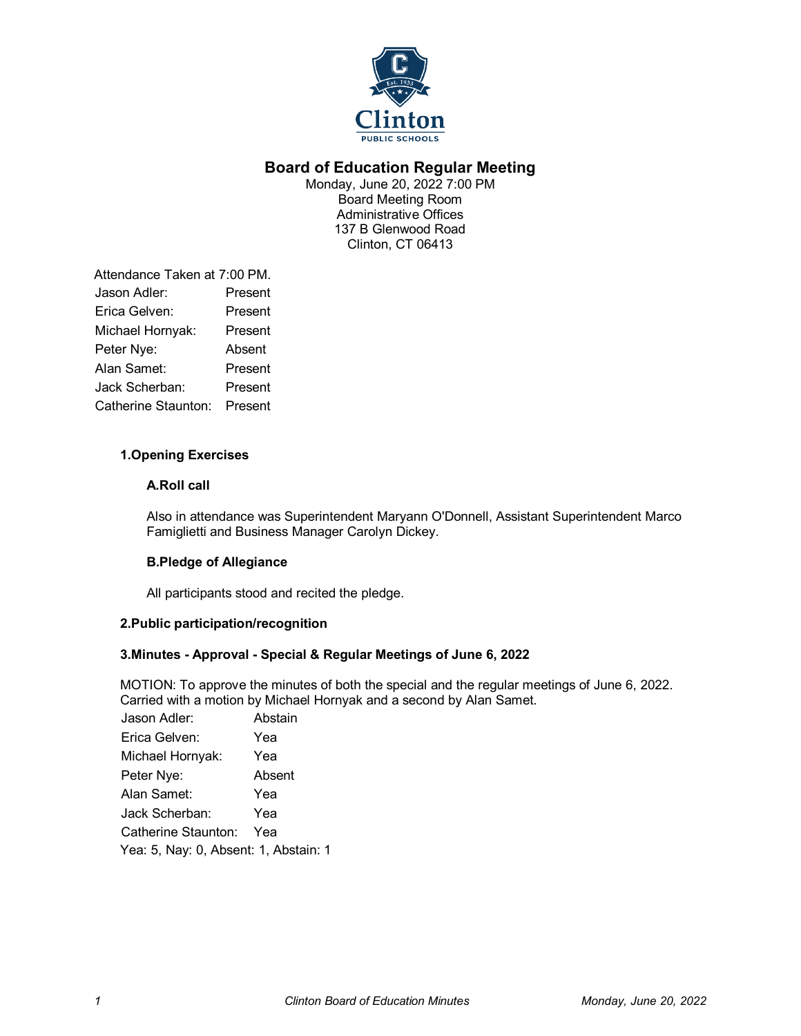

# **Board of Education Regular Meeting**

Monday, June 20, 2022 7:00 PM Board Meeting Room Administrative Offices 137 B Glenwood Road Clinton, CT 06413

Attendance Taken at 7:00 PM. Jason Adler: Present Erica Gelven: Present Michael Hornyak: Present Peter Nye: Absent Alan Samet: Present Jack Scherban: Present Catherine Staunton: Present

# **1.Opening Exercises**

# **A.Roll call**

Also in attendance was Superintendent Maryann O'Donnell, Assistant Superintendent Marco Famiglietti and Business Manager Carolyn Dickey.

# **B.Pledge of Allegiance**

All participants stood and recited the pledge.

# **2.Public participation/recognition**

# **3.Minutes - Approval - Special & Regular Meetings of June 6, 2022**

MOTION: To approve the minutes of both the special and the regular meetings of June 6, 2022. Carried with a motion by Michael Hornyak and a second by Alan Samet.

| Jason Adler:                          | Abstain |  |
|---------------------------------------|---------|--|
| Erica Gelven:                         | Yea     |  |
| Michael Hornyak:                      | Yea     |  |
| Peter Nye:                            | Absent  |  |
| Alan Samet:                           | Yea     |  |
| Jack Scherban:                        | Yea     |  |
| Catherine Staunton:                   | Yea     |  |
| Yea: 5, Nay: 0, Absent: 1, Abstain: 1 |         |  |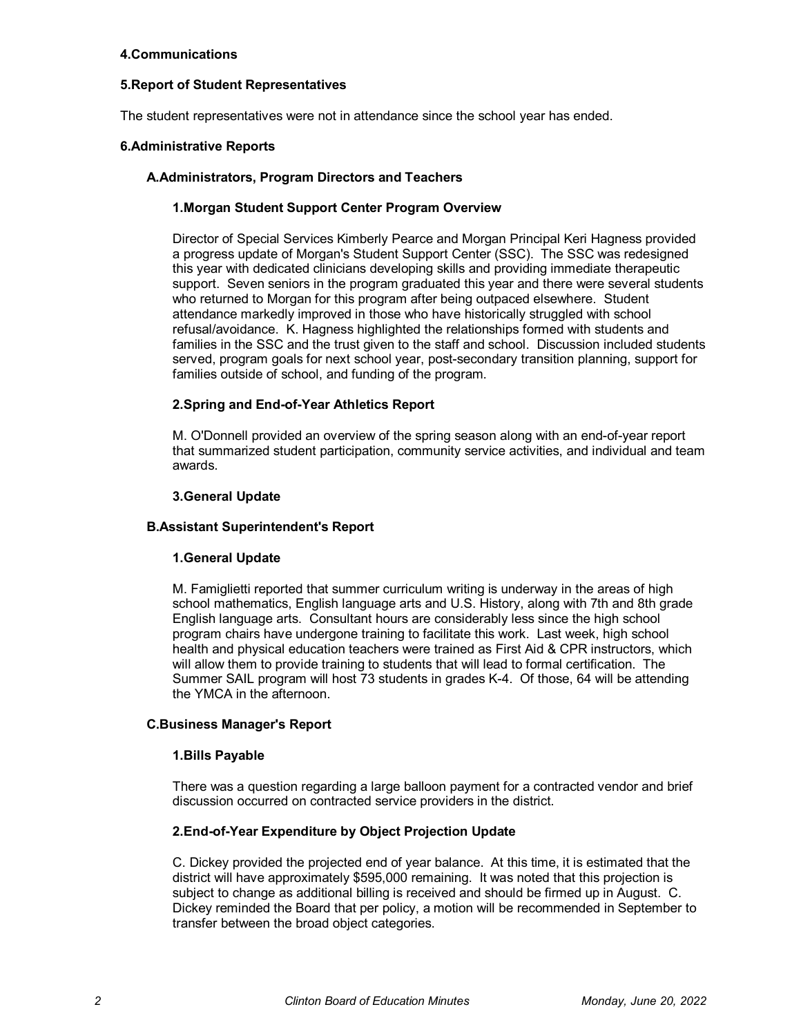# **4.Communications**

# **5.Report of Student Representatives**

The student representatives were not in attendance since the school year has ended.

# **6.Administrative Reports**

# **A.Administrators, Program Directors and Teachers**

# **1.Morgan Student Support Center Program Overview**

Director of Special Services Kimberly Pearce and Morgan Principal Keri Hagness provided a progress update of Morgan's Student Support Center (SSC). The SSC was redesigned this year with dedicated clinicians developing skills and providing immediate therapeutic support. Seven seniors in the program graduated this year and there were several students who returned to Morgan for this program after being outpaced elsewhere. Student attendance markedly improved in those who have historically struggled with school refusal/avoidance. K. Hagness highlighted the relationships formed with students and families in the SSC and the trust given to the staff and school. Discussion included students served, program goals for next school year, post-secondary transition planning, support for families outside of school, and funding of the program.

# **2.Spring and End-of-Year Athletics Report**

M. O'Donnell provided an overview of the spring season along with an end-of-year report that summarized student participation, community service activities, and individual and team awards.

#### **3.General Update**

#### **B.Assistant Superintendent's Report**

#### **1.General Update**

M. Famiglietti reported that summer curriculum writing is underway in the areas of high school mathematics, English language arts and U.S. History, along with 7th and 8th grade English language arts. Consultant hours are considerably less since the high school program chairs have undergone training to facilitate this work. Last week, high school health and physical education teachers were trained as First Aid & CPR instructors, which will allow them to provide training to students that will lead to formal certification. The Summer SAIL program will host 73 students in grades K-4. Of those, 64 will be attending the YMCA in the afternoon.

#### **C.Business Manager's Report**

#### **1.Bills Payable**

There was a question regarding a large balloon payment for a contracted vendor and brief discussion occurred on contracted service providers in the district.

#### **2.End-of-Year Expenditure by Object Projection Update**

C. Dickey provided the projected end of year balance. At this time, it is estimated that the district will have approximately \$595,000 remaining. It was noted that this projection is subject to change as additional billing is received and should be firmed up in August. C. Dickey reminded the Board that per policy, a motion will be recommended in September to transfer between the broad object categories.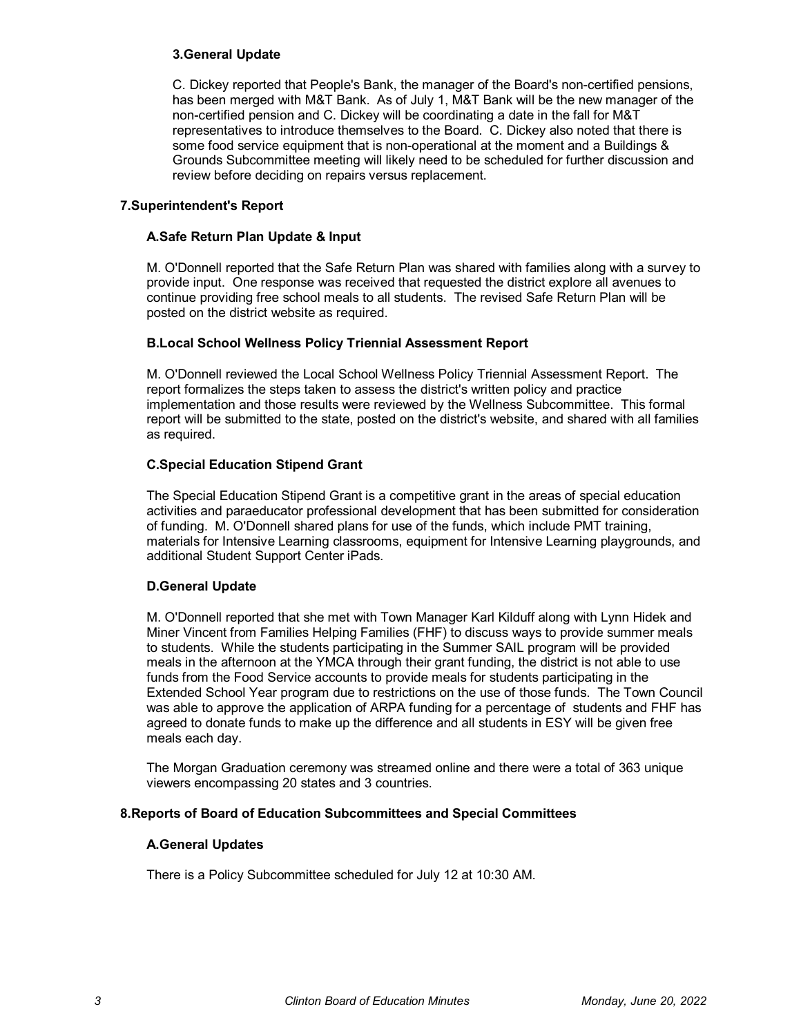# **3.General Update**

C. Dickey reported that People's Bank, the manager of the Board's non-certified pensions, has been merged with M&T Bank. As of July 1, M&T Bank will be the new manager of the non-certified pension and C. Dickey will be coordinating a date in the fall for M&T representatives to introduce themselves to the Board. C. Dickey also noted that there is some food service equipment that is non-operational at the moment and a Buildings & Grounds Subcommittee meeting will likely need to be scheduled for further discussion and review before deciding on repairs versus replacement.

# **7.Superintendent's Report**

# **A.Safe Return Plan Update & Input**

M. O'Donnell reported that the Safe Return Plan was shared with families along with a survey to provide input. One response was received that requested the district explore all avenues to continue providing free school meals to all students. The revised Safe Return Plan will be posted on the district website as required.

# **B.Local School Wellness Policy Triennial Assessment Report**

M. O'Donnell reviewed the Local School Wellness Policy Triennial Assessment Report. The report formalizes the steps taken to assess the district's written policy and practice implementation and those results were reviewed by the Wellness Subcommittee. This formal report will be submitted to the state, posted on the district's website, and shared with all families as required.

# **C.Special Education Stipend Grant**

The Special Education Stipend Grant is a competitive grant in the areas of special education activities and paraeducator professional development that has been submitted for consideration of funding. M. O'Donnell shared plans for use of the funds, which include PMT training, materials for Intensive Learning classrooms, equipment for Intensive Learning playgrounds, and additional Student Support Center iPads.

# **D.General Update**

M. O'Donnell reported that she met with Town Manager Karl Kilduff along with Lynn Hidek and Miner Vincent from Families Helping Families (FHF) to discuss ways to provide summer meals to students. While the students participating in the Summer SAIL program will be provided meals in the afternoon at the YMCA through their grant funding, the district is not able to use funds from the Food Service accounts to provide meals for students participating in the Extended School Year program due to restrictions on the use of those funds. The Town Council was able to approve the application of ARPA funding for a percentage of students and FHF has agreed to donate funds to make up the difference and all students in ESY will be given free meals each day.

The Morgan Graduation ceremony was streamed online and there were a total of 363 unique viewers encompassing 20 states and 3 countries.

# **8.Reports of Board of Education Subcommittees and Special Committees**

#### **A.General Updates**

There is a Policy Subcommittee scheduled for July 12 at 10:30 AM.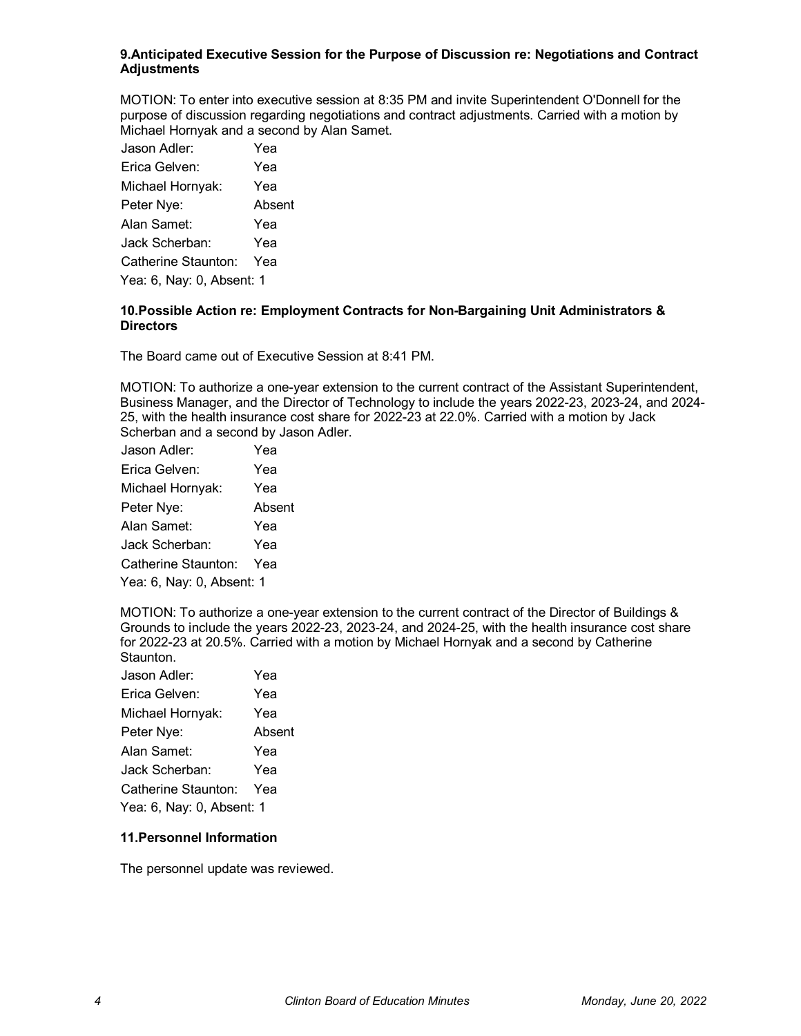### **9.Anticipated Executive Session for the Purpose of Discussion re: Negotiations and Contract Adjustments**

MOTION: To enter into executive session at 8:35 PM and invite Superintendent O'Donnell for the purpose of discussion regarding negotiations and contract adjustments. Carried with a motion by Michael Hornyak and a second by Alan Samet.

| Erica Gelven:<br>Yea<br>Michael Hornyak:<br>Yea |  |  |
|-------------------------------------------------|--|--|
|                                                 |  |  |
|                                                 |  |  |
| Peter Nye:<br>Absent                            |  |  |
| Alan Samet:<br>Yea                              |  |  |
| Jack Scherban:<br>Yea                           |  |  |
| Catherine Staunton:<br>Yea                      |  |  |
| Yea: 6, Nay: 0, Absent: 1                       |  |  |

# **10.Possible Action re: Employment Contracts for Non-Bargaining Unit Administrators & Directors**

The Board came out of Executive Session at 8:41 PM.

MOTION: To authorize a one-year extension to the current contract of the Assistant Superintendent, Business Manager, and the Director of Technology to include the years 2022-23, 2023-24, and 2024- 25, with the health insurance cost share for 2022-23 at 22.0%. Carried with a motion by Jack Scherban and a second by Jason Adler.

| Jason Adler:              | Yea    |  |
|---------------------------|--------|--|
| Erica Gelven:             | Yea    |  |
| Michael Hornyak:          | Yea    |  |
| Peter Nye:                | Absent |  |
| Alan Samet:               | Yea    |  |
| Jack Scherban:            | Yea    |  |
| Catherine Staunton:       | Yea    |  |
| Yea: 6, Nay: 0, Absent: 1 |        |  |

MOTION: To authorize a one-year extension to the current contract of the Director of Buildings & Grounds to include the years 2022-23, 2023-24, and 2024-25, with the health insurance cost share for 2022-23 at 20.5%. Carried with a motion by Michael Hornyak and a second by Catherine Staunton.

| Jason Adler:              | Yea    |  |
|---------------------------|--------|--|
| Erica Gelven:             | Yea    |  |
| Michael Hornyak:          | Yea    |  |
| Peter Nye:                | Absent |  |
| Alan Samet:               | Yea    |  |
| Jack Scherban:            | Yea    |  |
| Catherine Staunton:       | Yea    |  |
| Yea: 6, Nay: 0, Absent: 1 |        |  |

# **11.Personnel Information**

The personnel update was reviewed.